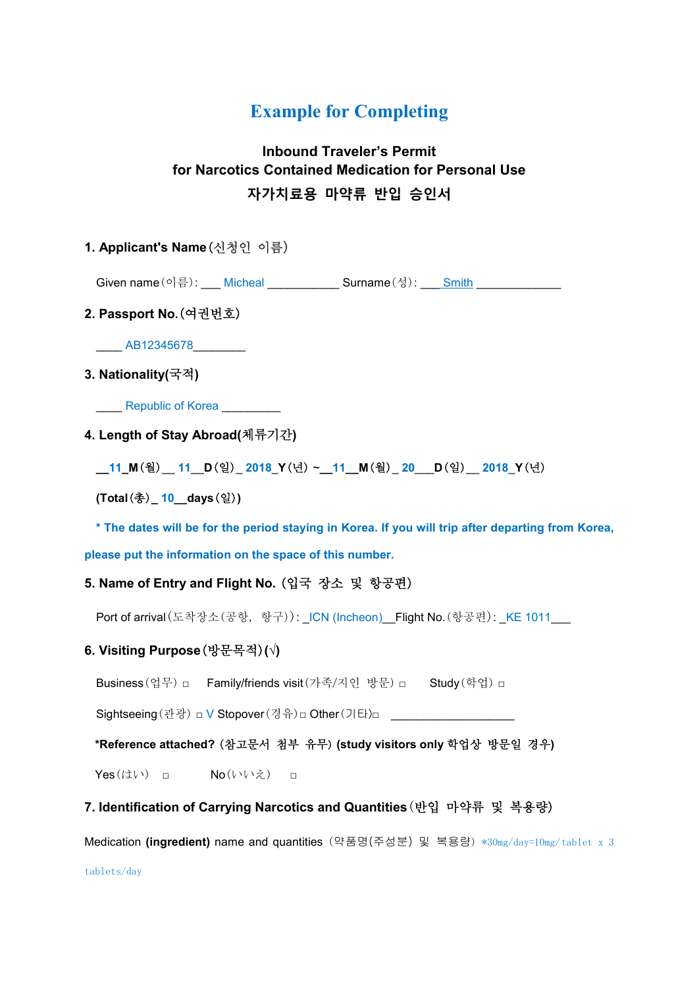# **Example for Completing**

# **Inbound Traveler's Permit for Narcotics Contained Medication for Personal Use 자가치료용 마약류 반입 승인서**

# **1. Applicant's Name**(신청인 이름)

Given name  $(0 | \frac{1}{2})$ : \_\_\_ Micheal \_\_\_\_\_\_\_\_\_\_\_ Surname  $(\frac{1}{2})$ : \_\_\_ Smith

# **2. Passport No.**(여권번호)

\_\_\_\_ AB12345678\_\_\_\_\_\_\_\_

### **3. Nationality(**국적**)**

\_\_\_\_ Republic of Korea \_\_\_\_\_\_\_\_\_

#### **4. Length of Stay Abroad(**체류기간**)**

**\_\_11\_M**(월)\_\_ **11**\_\_**D**(일)\_ **2018**\_**Y**(년) ~**\_\_11\_\_M**(월)\_ **20**\_\_\_**D**(일)\_\_ **2018**\_**Y**(년)

**(Total**(총)**\_ 10\_\_days**(일)**)**

**\* The dates will be for the period staying in Korea. If you will trip after departing from Korea,** 

**please put the information on the space of this number.** 

### **5. Name of Entry and Flight No.** (입국 장소 및 항공편)

Port of arrival(도착장소(공항, 항구)): \_ICN (Incheon)\_\_Flight No.(항공편): \_KE 1011\_\_\_

#### **6. Visiting Purpose**(방문목적)**(√)**

Business(업무) □ Family/friends visit (가족/지인 방문) □ Study (학업) □

Sightseeing (관광) □ V Stopover (경유)□ Other (기타)□

#### **\*Reference attached?** (참고문서 첨부 유무) **(study visitors only** 학업상 방문일 경우**)**

Yes(はい) □ No(いいえ) □

#### **7. Identification of Carrying Narcotics and Quantities**(반입 마약류 및 복용량)

Medication **(ingredient)** name and quantities (약품명(주성분) 및 복용량) \*30mg/day=10mg/tablet x 3

tablets/day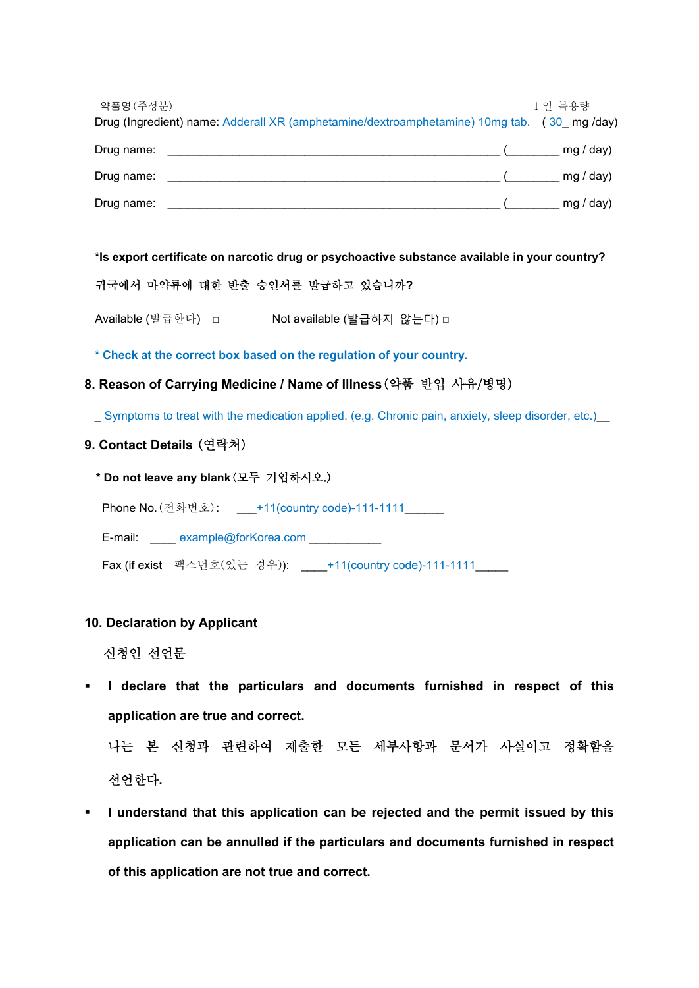| 약품명(주성분)   | Drug (Ingredient) name: Adderall XR (amphetamine/dextroamphetamine) 10mg tab. (30_mg/day) | 1일 복용량    |
|------------|-------------------------------------------------------------------------------------------|-----------|
| Drug name: |                                                                                           | mg / day) |
| Drug name: |                                                                                           | mg / day) |
| Drug name: |                                                                                           | mg / day) |

**\*Is export certificate on narcotic drug or psychoactive substance available in your country?**

# 귀국에서 마약류에 대한 반출 승인서를 발급하고 있습니까**?**

Available (발급한다) □ Not available (발급하지 않는다) □

**\* Check at the correct box based on the regulation of your country.**

# **8. Reason of Carrying Medicine / Name of Illness**(약품 반입 사유/병명)

\_ Symptoms to treat with the medication applied. (e.g. Chronic pain, anxiety, sleep disorder, etc.)\_\_

### **9. Contact Details** (연락처)

**\* Do not leave any blank**(모두 기입하시오.)

Phone No.(전화번호): \_\_\_+11(country code)-111-1111\_\_\_\_\_\_

E-mail: example@forKorea.com \_\_\_\_\_\_\_\_\_\_\_

Fax (if exist 팩스번호(있는 경우)): \_\_\_\_+11(country code)-111-1111\_\_\_\_\_

### **10. Declaration by Applicant**

신청인 선언문

§ **I declare that the particulars and documents furnished in respect of this application are true and correct.** 

나는 본 신청과 관련하여 제출한 모든 세부사항과 문서가 사실이고 정확함을 선언한다**.** 

§ **I understand that this application can be rejected and the permit issued by this application can be annulled if the particulars and documents furnished in respect of this application are not true and correct.**